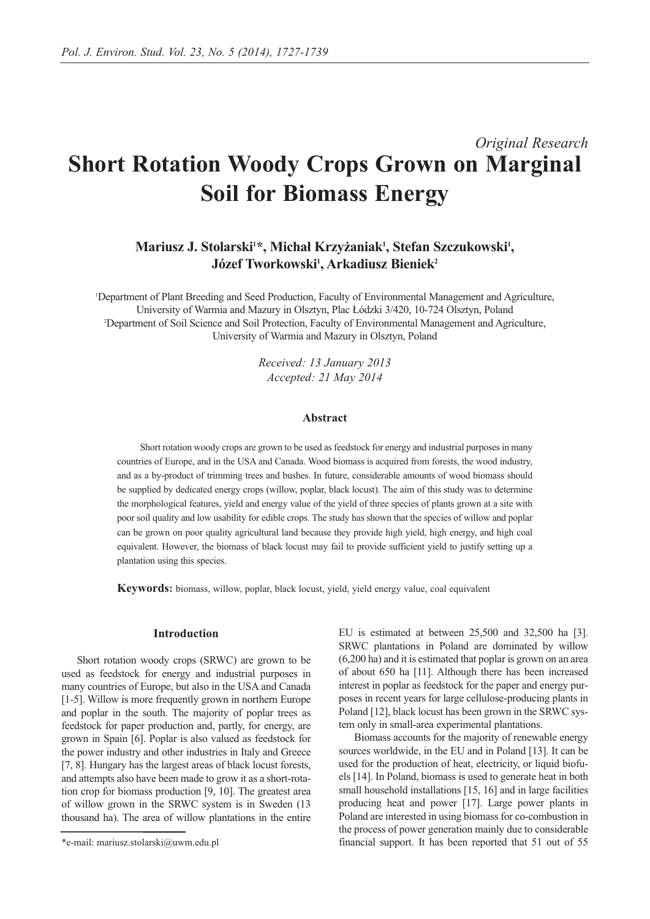# *Original Research* **Short Rotation Woody Crops Grown on Marginal Soil for Biomass Energy**

# Mariusz J. Stolarski<sup>1\*</sup>, Michał Krzyżaniak<sup>1</sup>, Stefan Szczukowski<sup>1</sup>,  $J$ ózef Tworkowski<sup>1</sup>, Arkadiusz Bieniek<sup>2</sup>

1 Department of Plant Breeding and Seed Production, Faculty of Environmental Management and Agriculture, University of Warmia and Mazury in Olsztyn, Plac Łódzki 3/420, 10-724 Olsztyn, Poland 2 Department of Soil Science and Soil Protection, Faculty of Environmental Management and Agriculture, University of Warmia and Mazury in Olsztyn, Poland

> *Received: 13 January 2013 Accepted: 21 May 2014*

# **Abstract**

Short rotation woody crops are grown to be used as feedstock for energy and industrial purposes in many countries of Europe, and in the USA and Canada. Wood biomass is acquired from forests, the wood industry, and as a by-product of trimming trees and bushes. In future, considerable amounts of wood biomass should be supplied by dedicated energy crops (willow, poplar, black locust). The aim of this study was to determine the morphological features, yield and energy value of the yield of three species of plants grown at a site with poor soil quality and low usability for edible crops. The study has shown that the species of willow and poplar can be grown on poor quality agricultural land because they provide high yield, high energy, and high coal equivalent. However, the biomass of black locust may fail to provide sufficient yield to justify setting up a plantation using this species.

**Keywords:** biomass, willow, poplar, black locust, yield, yield energy value, coal equivalent

#### **Introduction**

Short rotation woody crops (SRWC) are grown to be used as feedstock for energy and industrial purposes in many countries of Europe, but also in the USA and Canada [1-5]. Willow is more frequently grown in northern Europe and poplar in the south. The majority of poplar trees as feedstock for paper production and, partly, for energy, are grown in Spain [6]. Poplar is also valued as feedstock for the power industry and other industries in Italy and Greece [7, 8]. Hungary has the largest areas of black locust forests, and attempts also have been made to grow it as a short-rotation crop for biomass production [9, 10]. The greatest area of willow grown in the SRWC system is in Sweden (13 thousand ha). The area of willow plantations in the entire EU is estimated at between 25,500 and 32,500 ha [3]. SRWC plantations in Poland are dominated by willow (6,200 ha) and it is estimated that poplar is grown on an area of about 650 ha [11]. Although there has been increased interest in poplar as feedstock for the paper and energy purposes in recent years for large cellulose-producing plants in Poland [12], black locust has been grown in the SRWC system only in small-area experimental plantations.

Biomass accounts for the majority of renewable energy sources worldwide, in the EU and in Poland [13]. It can be used for the production of heat, electricity, or liquid biofuels [14]. In Poland, biomass is used to generate heat in both small household installations [15, 16] and in large facilities producing heat and power [17]. Large power plants in Poland are interested in using biomass for co-combustion in the process of power generation mainly due to considerable financial support. It has been reported that 51 out of 55

<sup>\*</sup>e-mail: mariusz.stolarski@uwm.edu.pl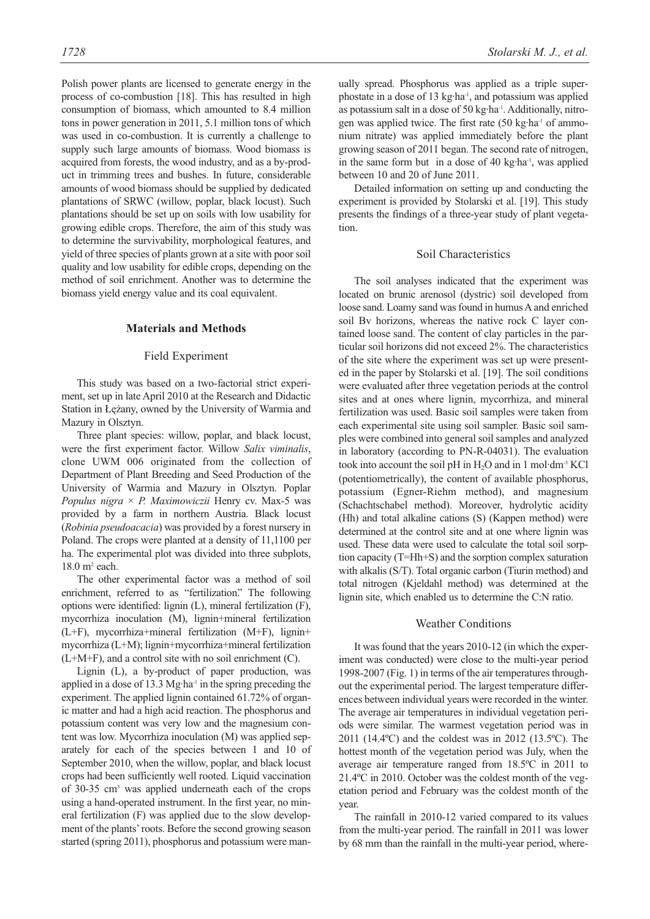Polish power plants are licensed to generate energy in the process of co-combustion [18]. This has resulted in high consumption of biomass, which amounted to 8.4 million tons in power generation in 2011, 5.1 million tons of which was used in co-combustion. It is currently a challenge to supply such large amounts of biomass. Wood biomass is acquired from forests, the wood industry, and as a by-product in trimming trees and bushes. In future, considerable amounts of wood biomass should be supplied by dedicated plantations of SRWC (willow, poplar, black locust). Such plantations should be set up on soils with low usability for growing edible crops. Therefore, the aim of this study was to determine the survivability, morphological features, and yield of three species of plants grown at a site with poor soil quality and low usability for edible crops, depending on the method of soil enrichment. Another was to determine the biomass yield energy value and its coal equivalent.

# **Materials and Methods**

#### Field Experiment

This study was based on a two-factorial strict experiment, set up in late April 2010 at the Research and Didactic Station in Łężany, owned by the University of Warmia and Mazury in Olsztyn.

Three plant species: willow, poplar, and black locust, were the first experiment factor. Willow *Salix viminalis*, clone UWM 006 originated from the collection of Department of Plant Breeding and Seed Production of the University of Warmia and Mazury in Olsztyn. Poplar *Populus nigra* × *P. Maximowiczii* Henry cv. Max-5 was provided by a farm in northern Austria. Black locust (*Robinia pseudoacacia*) was provided by a forest nursery in Poland. The crops were planted at a density of 11,1100 per ha. The experimental plot was divided into three subplots, 18.0 m2 each.

The other experimental factor was a method of soil enrichment, referred to as "fertilization." The following options were identified: lignin (L), mineral fertilization (F), mycorrhiza inoculation (M), lignin+mineral fertilization (L+F), mycorrhiza+mineral fertilization (M+F), lignin+ mycorrhiza (L+M); lignin+mycorrhiza+mineral fertilization (L+M+F), and a control site with no soil enrichment (C).

Lignin (L), a by-product of paper production, was applied in a dose of 13.3 Mg·ha<sup>-1</sup> in the spring preceding the experiment. The applied lignin contained 61.72% of organic matter and had a high acid reaction. The phosphorus and potassium content was very low and the magnesium content was low. Mycorrhiza inoculation (M) was applied separately for each of the species between 1 and 10 of September 2010, when the willow, poplar, and black locust crops had been sufficiently well rooted. Liquid vaccination of 30-35 cm3 was applied underneath each of the crops using a hand-operated instrument. In the first year, no mineral fertilization (F) was applied due to the slow development of the plants' roots. Before the second growing season started (spring 2011), phosphorus and potassium were manually spread. Phosphorus was applied as a triple superphostate in a dose of 13 kg·ha-1, and potassium was applied as potassium salt in a dose of 50 kg·ha-1. Additionally, nitrogen was applied twice. The first rate (50 kg·ha-1 of ammonium nitrate) was applied immediately before the plant growing season of 2011 began. The second rate of nitrogen, in the same form but in a dose of 40 kg·ha-1, was applied between 10 and 20 of June 2011.

Detailed information on setting up and conducting the experiment is provided by Stolarski et al. [19]. This study presents the findings of a three-year study of plant vegetation.

#### Soil Characteristics

The soil analyses indicated that the experiment was located on brunic arenosol (dystric) soil developed from loose sand. Loamy sand was found in humus A and enriched soil Bv horizons, whereas the native rock C layer contained loose sand. The content of clay particles in the particular soil horizons did not exceed 2%. The characteristics of the site where the experiment was set up were presented in the paper by Stolarski et al. [19]. The soil conditions were evaluated after three vegetation periods at the control sites and at ones where lignin, mycorrhiza, and mineral fertilization was used. Basic soil samples were taken from each experimental site using soil sampler. Basic soil samples were combined into general soil samples and analyzed in laboratory (according to PN-R-04031). The evaluation took into account the soil pH in  $H<sub>2</sub>O$  and in 1 mol·dm<sup>-3</sup> KCl (potentiometrically), the content of available phosphorus, potassium (Egner-Riehm method), and magnesium (Schachtschabel method). Moreover, hydrolytic acidity (Hh) and total alkaline cations (S) (Kappen method) were determined at the control site and at one where lignin was used. These data were used to calculate the total soil sorption capacity (T=Hh+S) and the sorption complex saturation with alkalis (S/T). Total organic carbon (Tiurin method) and total nitrogen (Kjeldahl method) was determined at the lignin site, which enabled us to determine the C:N ratio.

#### Weather Conditions

It was found that the years 2010-12 (in which the experiment was conducted) were close to the multi-year period 1998-2007 (Fig. 1) in terms of the air temperatures throughout the experimental period. The largest temperature differences between individual years were recorded in the winter. The average air temperatures in individual vegetation periods were similar. The warmest vegetation period was in 2011 (14.4ºC) and the coldest was in 2012 (13.5ºC). The hottest month of the vegetation period was July, when the average air temperature ranged from 18.5ºC in 2011 to 21.4ºC in 2010. October was the coldest month of the vegetation period and February was the coldest month of the year.

The rainfall in 2010-12 varied compared to its values from the multi-year period. The rainfall in 2011 was lower by 68 mm than the rainfall in the multi-year period, where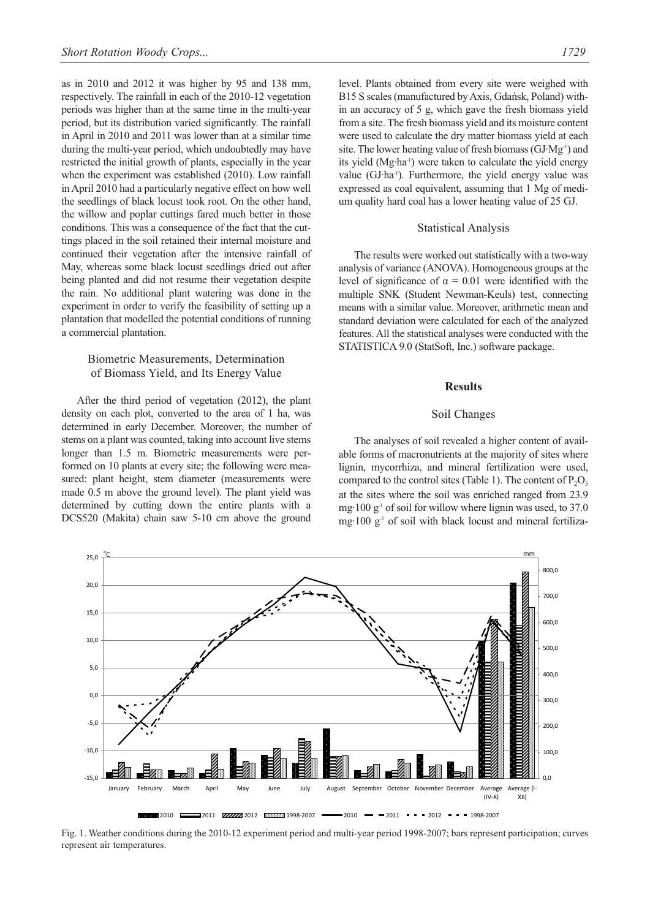as in 2010 and 2012 it was higher by 95 and 138 mm, respectively. The rainfall in each of the 2010-12 vegetation periods was higher than at the same time in the multi-year period, but its distribution varied significantly. The rainfall in April in 2010 and 2011 was lower than at a similar time during the multi-year period, which undoubtedly may have restricted the initial growth of plants, especially in the year when the experiment was established (2010). Low rainfall in April 2010 had a particularly negative effect on how well the seedlings of black locust took root. On the other hand, the willow and poplar cuttings fared much better in those conditions. This was a consequence of the fact that the cuttings placed in the soil retained their internal moisture and continued their vegetation after the intensive rainfall of May, whereas some black locust seedlings dried out after being planted and did not resume their vegetation despite the rain. No additional plant watering was done in the experiment in order to verify the feasibility of setting up a plantation that modelled the potential conditions of running a commercial plantation.

# Biometric Measurements, Determination of Biomass Yield, and Its Energy Value

After the third period of vegetation (2012), the plant density on each plot, converted to the area of 1 ha, was determined in early December. Moreover, the number of stems on a plant was counted, taking into account live stems longer than 1.5 m. Biometric measurements were performed on 10 plants at every site; the following were measured: plant height, stem diameter (measurements were made 0.5 m above the ground level). The plant yield was determined by cutting down the entire plants with a DCS520 (Makita) chain saw 5-10 cm above the ground level. Plants obtained from every site were weighed with B15 S scales (manufactured by Axis, Gdańsk, Poland) within an accuracy of 5 g, which gave the fresh biomass yield from a site. The fresh biomass yield and its moisture content were used to calculate the dry matter biomass yield at each site. The lower heating value of fresh biomass (GJ·Mg-1) and its yield (Mg·ha<sup>-1</sup>) were taken to calculate the yield energy value (GJ·ha-1). Furthermore, the yield energy value was expressed as coal equivalent, assuming that 1 Mg of medium quality hard coal has a lower heating value of 25 GJ.

#### Statistical Analysis

The results were worked out statistically with a two-way analysis of variance (ANOVA). Homogeneous groups at the level of significance of  $α = 0.01$  were identified with the multiple SNK (Student Newman-Keuls) test, connecting means with a similar value. Moreover, arithmetic mean and standard deviation were calculated for each of the analyzed features. All the statistical analyses were conducted with the STATISTICA 9.0 (StatSoft, Inc.) software package.

# **Results**

# Soil Changes

The analyses of soil revealed a higher content of available forms of macronutrients at the majority of sites where lignin, mycorrhiza, and mineral fertilization were used, compared to the control sites (Table 1). The content of  $P_2O_5$ at the sites where the soil was enriched ranged from 23.9 mg $\cdot$ 100 g<sup>-1</sup> of soil for willow where lignin was used, to 37.0 mg $\cdot$ 100 g<sup>-1</sup> of soil with black locust and mineral fertiliza-



Fig. 1. Weather conditions during the 2010-12 experiment period and multi-year period 1998-2007; bars represent participation; curves represent air temperatures.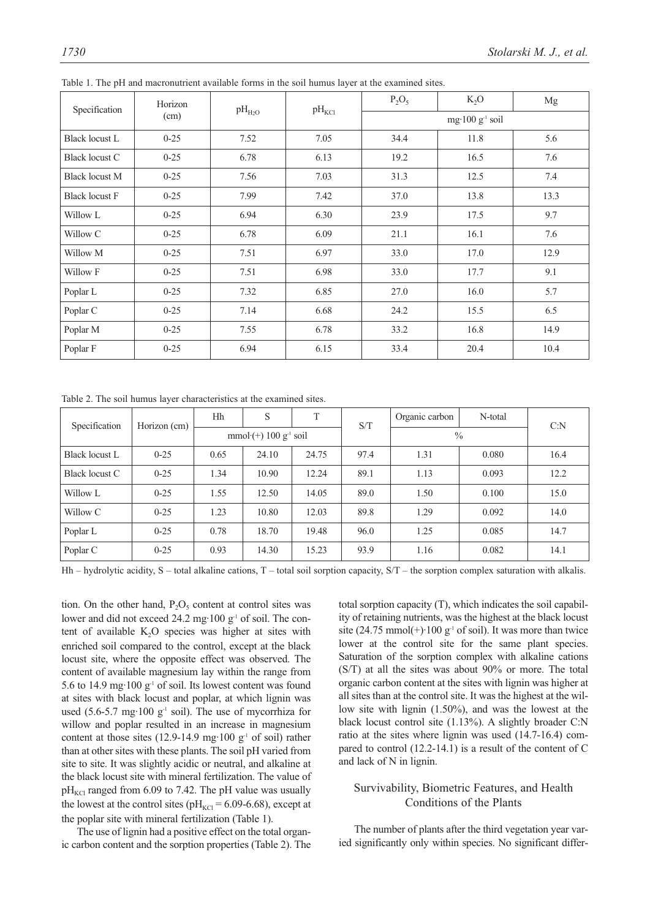| Specification         | Horizon  | $pH_{H_2O}$ | $pH_{\text{KCl}}$ | $P_2O_5$ | $K_2O$                      | Mg   |
|-----------------------|----------|-------------|-------------------|----------|-----------------------------|------|
|                       | (cm)     |             |                   |          | mg·100 g <sup>-1</sup> soil |      |
| <b>Black locust L</b> | $0 - 25$ | 7.52        | 7.05              | 34.4     | 11.8                        | 5.6  |
| <b>Black locust C</b> | $0 - 25$ | 6.78        | 6.13              | 19.2     | 16.5                        | 7.6  |
| <b>Black locust M</b> | $0 - 25$ | 7.56        | 7.03              | 31.3     | 12.5                        | 7.4  |
| <b>Black locust F</b> | $0 - 25$ | 7.99        | 7.42              | 37.0     | 13.8                        | 13.3 |
| Willow L              | $0 - 25$ | 6.94        | 6.30              | 23.9     | 17.5                        | 9.7  |
| Willow C              | $0 - 25$ | 6.78        | 6.09              | 21.1     | 16.1                        | 7.6  |
| Willow M              | $0 - 25$ | 7.51        | 6.97              | 33.0     | 17.0                        | 12.9 |
| Willow F              | $0 - 25$ | 7.51        | 6.98              | 33.0     | 17.7                        | 9.1  |
| Poplar L              | $0 - 25$ | 7.32        | 6.85              | 27.0     | 16.0                        | 5.7  |
| Poplar C              | $0 - 25$ | 7.14        | 6.68              | 24.2     | 15.5                        | 6.5  |
| Poplar M              | $0 - 25$ | 7.55        | 6.78              | 33.2     | 16.8                        | 14.9 |
| Poplar F              | $0 - 25$ | 6.94        | 6.15              | 33.4     | 20.4                        | 10.4 |

Table 1. The pH and macronutrient available forms in the soil humus layer at the examined sites.

Table 2. The soil humus layer characteristics at the examined sites.

| Specification  | Horizon (cm) | Hh                                        | S     | T     | S/T  | Organic carbon | N-total | C: N |
|----------------|--------------|-------------------------------------------|-------|-------|------|----------------|---------|------|
|                |              | mmol $\cdot$ (+) 100 g <sup>-1</sup> soil |       |       |      | $\frac{0}{0}$  |         |      |
| Black locust L | $0 - 25$     | 0.65                                      | 24.10 | 24.75 | 97.4 | 1.31           | 0.080   | 16.4 |
| Black locust C | $0 - 25$     | 1.34                                      | 10.90 | 12.24 | 89.1 | 1.13           | 0.093   | 12.2 |
| Willow L       | $0 - 25$     | 1.55                                      | 12.50 | 14.05 | 89.0 | 1.50           | 0.100   | 15.0 |
| Willow C       | $0 - 25$     | 1.23                                      | 10.80 | 12.03 | 89.8 | 1.29           | 0.092   | 14.0 |
| Poplar L       | $0 - 25$     | 0.78                                      | 18.70 | 19.48 | 96.0 | 1.25           | 0.085   | 14.7 |
| Poplar C       | $0 - 25$     | 0.93                                      | 14.30 | 15.23 | 93.9 | 1.16           | 0.082   | 14.1 |

Hh – hydrolytic acidity, S – total alkaline cations, T – total soil sorption capacity, S/T – the sorption complex saturation with alkalis.

tion. On the other hand,  $P_2O_5$  content at control sites was lower and did not exceed 24.2 mg·100  $g^{-1}$  of soil. The content of available  $K_2O$  species was higher at sites with enriched soil compared to the control, except at the black locust site, where the opposite effect was observed. The content of available magnesium lay within the range from 5.6 to 14.9 mg·100  $g^{-1}$  of soil. Its lowest content was found at sites with black locust and poplar, at which lignin was used (5.6-5.7 mg·100  $g^{-1}$  soil). The use of mycorrhiza for willow and poplar resulted in an increase in magnesium content at those sites (12.9-14.9 mg·100  $g<sup>-1</sup>$  of soil) rather than at other sites with these plants. The soil pH varied from site to site. It was slightly acidic or neutral, and alkaline at the black locust site with mineral fertilization. The value of  $pH_{\text{KCl}}$  ranged from 6.09 to 7.42. The pH value was usually the lowest at the control sites ( $pH_{\text{KCl}} = 6.09$ -6.68), except at the poplar site with mineral fertilization (Table 1).

The use of lignin had a positive effect on the total organic carbon content and the sorption properties (Table 2). The total sorption capacity (T), which indicates the soil capability of retaining nutrients, was the highest at the black locust site (24.75 mmol(+) $\cdot$ 100 g<sup>-1</sup> of soil). It was more than twice lower at the control site for the same plant species. Saturation of the sorption complex with alkaline cations (S/T) at all the sites was about 90% or more. The total organic carbon content at the sites with lignin was higher at all sites than at the control site. It was the highest at the willow site with lignin (1.50%), and was the lowest at the black locust control site (1.13%). A slightly broader C:N ratio at the sites where lignin was used (14.7-16.4) compared to control (12.2-14.1) is a result of the content of C and lack of N in lignin.

# Survivability, Biometric Features, and Health Conditions of the Plants

The number of plants after the third vegetation year varied significantly only within species. No significant differ-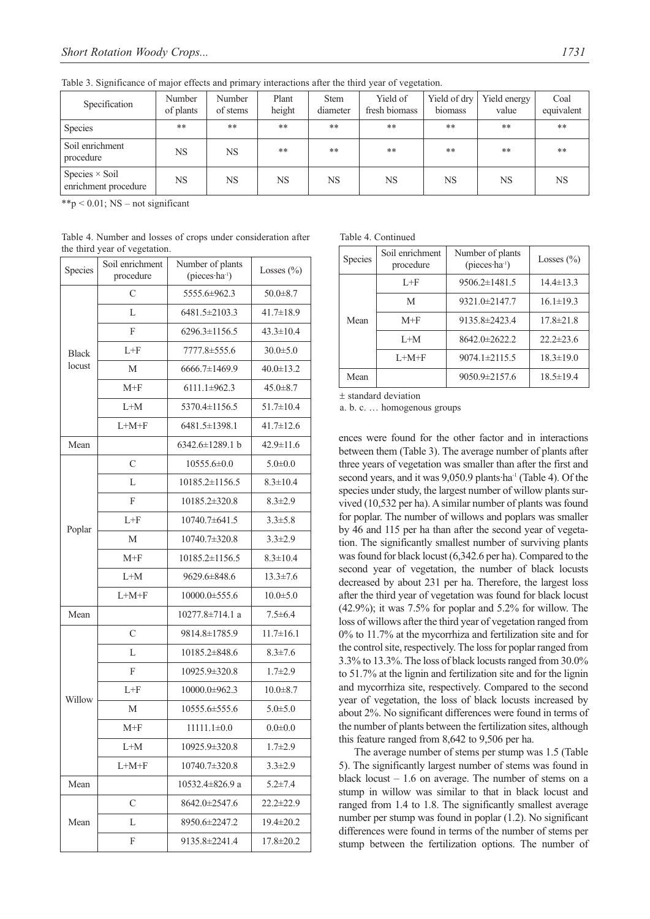Table 3. Significance of major effects and primary interactions after the third year of vegetation.

| Specification                                 | Number<br>of plants | Number<br>of stems | Plant<br>height | <b>Stem</b><br>diameter | Yield of<br>fresh biomass | Yield of dry<br>biomass | Yield energy<br>value | Coal<br>equivalent |
|-----------------------------------------------|---------------------|--------------------|-----------------|-------------------------|---------------------------|-------------------------|-----------------------|--------------------|
| <b>Species</b>                                | **                  | $***$              | **              | **                      | **                        | **                      | **                    | $***$              |
| Soil enrichment<br>procedure                  | NS                  | NS                 | $**$            | $**$                    | $**$                      | $**$                    | $**$                  | $**$               |
| Species $\times$ Soil<br>enrichment procedure | NS                  | NS                 | NS              | NS                      | <b>NS</b>                 | NS                      | NS                    | <b>NS</b>          |

\*\*p  $\leq$  0.01; NS – not significant

| Table 4. Number and losses of crops under consideration after |  |  |  |
|---------------------------------------------------------------|--|--|--|
| the third year of vegetation.                                 |  |  |  |

| Species      | Number of plants<br>Soil enrichment<br>(pieces·ha <sup>-1</sup> )<br>procedure |                     | Losses $(\% )$  |
|--------------|--------------------------------------------------------------------------------|---------------------|-----------------|
|              | $\mathcal{C}$                                                                  | 5555.6±962.3        | $50.0 \pm 8.7$  |
|              | L                                                                              | 6481.5±2103.3       | $41.7 \pm 18.9$ |
|              | F                                                                              | 6296.3±1156.5       | $43.3 \pm 10.4$ |
| <b>Black</b> | $L + F$                                                                        | 7777.8±555.6        | $30.0 \pm 5.0$  |
| locust       | М                                                                              | 6666.7±1469.9       | $40.0 \pm 13.2$ |
|              | $M+F$                                                                          | $6111.1\pm 962.3$   | $45.0 \pm 8.7$  |
|              | $L+M$                                                                          | 5370.4±1156.5       | $51.7 \pm 10.4$ |
|              | $L+M+F$                                                                        | 6481.5±1398.1       | $41.7 \pm 12.6$ |
| Mean         |                                                                                | 6342.6±1289.1 b     | 42.9±11.6       |
|              | $\overline{C}$                                                                 | 10555.6±0.0         | $5.0 \pm 0.0$   |
|              | L                                                                              | 10185.2±1156.5      | $8.3 \pm 10.4$  |
|              | F                                                                              | 10185.2±320.8       | $8.3 \pm 2.9$   |
|              | $L + F$                                                                        | 10740.7±641.5       | $3.3 \pm 5.8$   |
| Poplar       | М                                                                              | 10740.7±320.8       | $3.3 \pm 2.9$   |
|              | $M+F$                                                                          | 10185.2±1156.5      | $8.3 \pm 10.4$  |
|              | $L+M$                                                                          | 9629.6±848.6        | $13.3 \pm 7.6$  |
|              | $L+M+F$                                                                        | 10000.0±555.6       | $10.0 \pm 5.0$  |
| Mean         |                                                                                | 10277.8±714.1 a     | $7.5 \pm 6.4$   |
|              | $\overline{C}$                                                                 | 9814.8±1785.9       | $11.7 \pm 16.1$ |
|              | L                                                                              | 10185.2±848.6       | $8.3 \pm 7.6$   |
|              | F                                                                              | 10925.9±320.8       | $1.7 + 2.9$     |
| Willow       | $L + F$                                                                        | 10000.0±962.3       | $10.0 \pm 8.7$  |
|              | M                                                                              | 10555.6±555.6       | $5.0 + 5.0$     |
|              | $M+F$                                                                          | $11111.1\pm0.0$     | $0.0 \pm 0.0$   |
|              | $L+M$                                                                          | 10925.9±320.8       | $1.7 + 2.9$     |
|              | $L+M+F$                                                                        | $10740.7 \pm 320.8$ | $3.3 \pm 2.9$   |
| Mean         |                                                                                | 10532.4±826.9 a     | $5.2 \pm 7.4$   |
|              | $\mathcal{C}$                                                                  | 8642.0±2547.6       | $22.2 \pm 22.9$ |
| Mean         | L                                                                              | 8950.6±2247.2       | 19.4±20.2       |
|              | F                                                                              | 9135.8±2241.4       | $17.8 \pm 20.2$ |

Table 4. Continued

| таото г. сопинала |                              |                                                |                 |  |  |  |
|-------------------|------------------------------|------------------------------------------------|-----------------|--|--|--|
| Species           | Soil enrichment<br>procedure | Number of plants<br>(pieces·ha <sup>-1</sup> ) | Losses $(\% )$  |  |  |  |
|                   | $L + F$                      | $9506.2 \pm 1481.5$                            | $14.4 \pm 13.3$ |  |  |  |
|                   | M                            | $9321.0 \pm 2147.7$                            | $16.1 \pm 19.3$ |  |  |  |
| Mean              | $M+F$                        | 9135.8±2423.4                                  | $17.8 \pm 21.8$ |  |  |  |
|                   | $L+M$                        | 8642.0±2622.2                                  | $22.2 \pm 23.6$ |  |  |  |
|                   | $L+M+F$                      | $9074.1 \pm 2115.5$                            | $18.3 \pm 19.0$ |  |  |  |
| Mean              |                              | $9050.9 \pm 2157.6$                            | $18.5 \pm 19.4$ |  |  |  |

± standard deviation

a. b. c. … homogenous groups

ences were found for the other factor and in interactions between them (Table 3). The average number of plants after three years of vegetation was smaller than after the first and second years, and it was 9,050.9 plants ha<sup>-1</sup> (Table 4). Of the species under study, the largest number of willow plants survived (10,532 per ha). A similar number of plants was found for poplar. The number of willows and poplars was smaller by 46 and 115 per ha than after the second year of vegetation. The significantly smallest number of surviving plants was found for black locust (6,342.6 per ha). Compared to the second year of vegetation, the number of black locusts decreased by about 231 per ha. Therefore, the largest loss after the third year of vegetation was found for black locust  $(42.9\%)$ ; it was 7.5% for poplar and 5.2% for willow. The loss of willows after the third year of vegetation ranged from 0% to 11.7% at the mycorrhiza and fertilization site and for the control site, respectively. The loss for poplar ranged from 3.3% to 13.3%. The loss of black locusts ranged from 30.0% to 51.7% at the lignin and fertilization site and for the lignin and mycorrhiza site, respectively. Compared to the second year of vegetation, the loss of black locusts increased by about 2%. No significant differences were found in terms of the number of plants between the fertilization sites, although this feature ranged from 8,642 to 9,506 per ha.

The average number of stems per stump was 1.5 (Table 5). The significantly largest number of stems was found in black locust  $-1.6$  on average. The number of stems on a stump in willow was similar to that in black locust and ranged from 1.4 to 1.8. The significantly smallest average number per stump was found in poplar (1.2). No significant differences were found in terms of the number of stems per stump between the fertilization options. The number of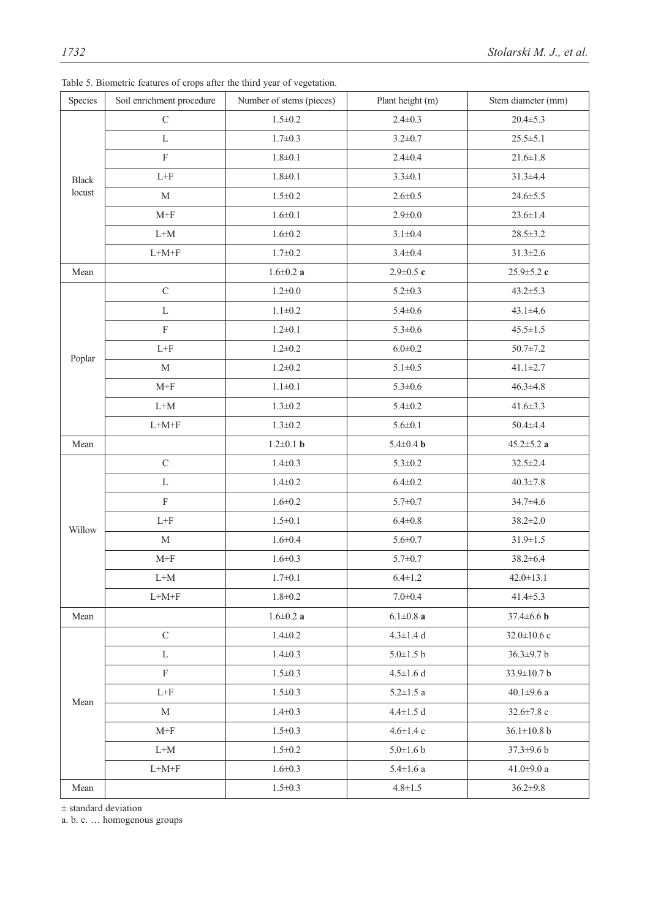| Species      | Soil enrichment procedure                            | Number of stems (pieces) | Plant height (m) | Stem diameter (mm) |
|--------------|------------------------------------------------------|--------------------------|------------------|--------------------|
|              | $\mathbf C$                                          | $1.5 \pm 0.2$            | $2.4 \pm 0.3$    | $20.4 \pm 5.3$     |
| <b>Black</b> | $\mathbf L$                                          | $1.7 \pm 0.3$            | $3.2 \pm 0.7$    | $25.5 \pm 5.1$     |
|              | $\rm F$                                              | $1.8 + 0.1$              | $2.4 \pm 0.4$    | $21.6 \pm 1.8$     |
|              | $\mbox{L+F}$                                         | $1.8 + 0.1$              | $3.3 \pm 0.1$    | $31.3 + 4.4$       |
| locust       | $\mathbf M$                                          | $1.5 \pm 0.2$            | $2.6 \pm 0.5$    | $24.6 \pm 5.5$     |
|              | $M+F$                                                | $1.6 \pm 0.1$            | $2.9 \pm 0.0$    | $23.6 \pm 1.4$     |
|              | $L+M$                                                | $1.6 \pm 0.2$            | $3.1 \pm 0.4$    | $28.5 \pm 3.2$     |
|              | $\mbox{L+M+F}$                                       | $1.7 \pm 0.2$            | $3.4 \pm 0.4$    | $31.3 \pm 2.6$     |
| Mean         |                                                      | $1.6 \!\pm\! 0.2$ a      | $2.9 \pm 0.5$ c  | $25.9 \pm 5.2$ c   |
|              | $\mathbf C$                                          | $1.2 \pm 0.0$            | $5.2 \pm 0.3$    | $43.2 \pm 5.3$     |
|              | $\mathbf L$                                          | $1.1 \pm 0.2$            | $5.4 \pm 0.6$    | $43.1 \pm 4.6$     |
|              | $\mathbf F$                                          | $1.2 \pm 0.1$            | $5.3 \pm 0.6$    | $45.5 \pm 1.5$     |
| Poplar       | $\mbox{L}\mbox{+}\mbox{F}$                           | $1.2 \pm 0.2$            | $6.0 \pm 0.2$    | $50.7 \pm 7.2$     |
|              | M                                                    | $1.2 \pm 0.2$            | $5.1 \pm 0.5$    | $41.1 \pm 2.7$     |
|              | $\ensuremath{\text{M+}}\xspace\ensuremath{\text{F}}$ | $1.1 \pm 0.1$            | $5.3 \pm 0.6$    | $46.3 \pm 4.8$     |
|              | $L+M$                                                | $1.3 \pm 0.2$            | $5.4 \pm 0.2$    | $41.6 \pm 3.3$     |
|              | $\mbox{L+M+F}$                                       | $1.3 \pm 0.2$            | $5.6 \pm 0.1$    | $50.4 + 4.4$       |
| Mean         |                                                      | $1.2 \pm 0.1$ b          | $5.4 \pm 0.4$ b  | 45.2 $\pm$ 5.2 a   |
|              | $\mathsf C$                                          | $1.4 \pm 0.3$            | $5.3 \pm 0.2$    | $32.5 \pm 2.4$     |
|              | L                                                    | $1.4 \pm 0.2$            | $6.4 \pm 0.2$    | $40.3 \pm 7.8$     |
|              | $\rm F$                                              | $1.6 \pm 0.2$            | $5.7 \pm 0.7$    | 34.7±4.6           |
| Willow       | $\mbox{L+F}$                                         | $1.5 \pm 0.1$            | $6.4 \pm 0.8$    | $38.2 \pm 2.0$     |
|              | $\mathbf M$                                          | $1.6 \pm 0.4$            | $5.6 \pm 0.7$    | $31.9 \pm 1.5$     |
|              | $M+F$                                                | $1.6 \pm 0.3$            | $5.7 \pm 0.7$    | $38.2 \pm 6.4$     |
|              | $L+M$                                                | $1.7 \pm 0.1$            | $6.4 \pm 1.2$    | $42.0 \pm 13.1$    |
|              | $L+M+F$                                              | $1.8 \pm 0.2$            | $7.0 \pm 0.4$    | $41.4 \pm 5.3$     |
| Mean         |                                                      | $1.6\!\!\pm\!\!0.2$ a    | $6.1{\pm}0.8$ a  | 37.4 $\pm$ 6.6 b   |
|              | $\mathbf C$                                          | $1.4 \pm 0.2$            | $4.3 \pm 1.4$ d  | $32.0 \pm 10.6$ c  |
|              | $\mathbf L$                                          | $1.4 \pm 0.3$            | $5.0 \pm 1.5$ b  | 36.3±9.7 b         |
|              | $\mathbf F$                                          | $1.5 \pm 0.3$            | $4.5 \pm 1.6$ d  | 33.9±10.7 b        |
| Mean         | $L + F$                                              | $1.5 \pm 0.3$            | $5.2 \pm 1.5$ a  | 40.1 $\pm$ 9.6 a   |
|              | М                                                    | $1.4 \pm 0.3$            | $4.4 \pm 1.5$ d  | $32.6 \pm 7.8$ c   |
|              | $M+F$                                                | $1.5 \pm 0.3$            | $4.6 \pm 1.4$ c  | $36.1 \pm 10.8$ b  |
|              | $L+M$                                                | $1.5 \pm 0.2$            | $5.0 \pm 1.6 b$  | $37.3 \pm 9.6 b$   |
|              | $\mbox{L+M+F}$                                       | $1.6 \pm 0.3$            | $5.4{\pm}1.6$ a  | 41.0 $\pm$ 9.0 a   |
| Mean         |                                                      | $1.5 \pm 0.3$            | $4.8 \pm 1.5$    | $36.2 \pm 9.8$     |

Table 5. Biometric features of crops after the third year of vegetation.

± standard deviation

a. b. c. … homogenous groups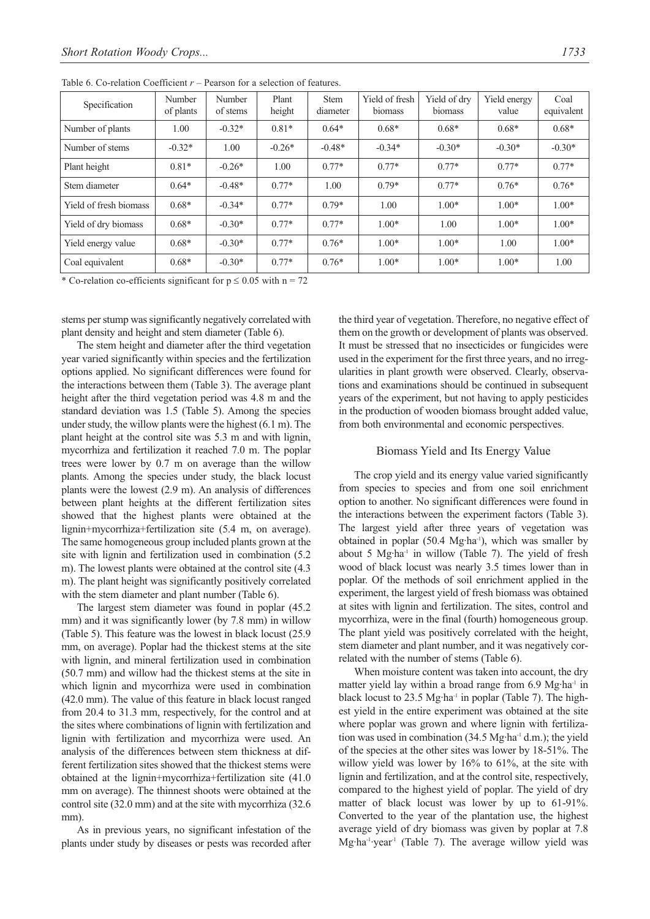| Specification          | Number<br>of plants | Number<br>of stems | Plant<br>height | <b>Stem</b><br>diameter | Yield of fresh<br>biomass | Yield of dry<br>biomass | Yield energy<br>value | Coal<br>equivalent |
|------------------------|---------------------|--------------------|-----------------|-------------------------|---------------------------|-------------------------|-----------------------|--------------------|
| Number of plants       | 1.00                | $-0.32*$           | $0.81*$         | $0.64*$                 | $0.68*$                   | $0.68*$                 | $0.68*$               | $0.68*$            |
| Number of stems        | $-0.32*$            | 1.00               | $-0.26*$        | $-0.48*$                | $-0.34*$                  | $-0.30*$                | $-0.30*$              | $-0.30*$           |
| Plant height           | $0.81*$             | $-0.26*$           | 1.00            | $0.77*$                 | $0.77*$                   | $0.77*$                 | $0.77*$               | $0.77*$            |
| Stem diameter          | $0.64*$             | $-0.48*$           | $0.77*$         | 1.00                    | $0.79*$                   | $0.77*$                 | $0.76*$               | $0.76*$            |
| Yield of fresh biomass | $0.68*$             | $-0.34*$           | $0.77*$         | $0.79*$                 | 1.00                      | $1.00*$                 | $1.00*$               | $1.00*$            |
| Yield of dry biomass   | $0.68*$             | $-0.30*$           | $0.77*$         | $0.77*$                 | $1.00*$                   | 1.00                    | $1.00*$               | $1.00*$            |
| Yield energy value     | $0.68*$             | $-0.30*$           | $0.77*$         | $0.76*$                 | $1.00*$                   | $1.00*$                 | 1.00                  | $1.00*$            |
| Coal equivalent        | $0.68*$             | $-0.30*$           | $0.77*$         | $0.76*$                 | $1.00*$                   | $1.00*$                 | $1.00*$               | 1.00               |

Table 6. Co-relation Coefficient *r* – Pearson for a selection of features.

\* Co-relation co-efficients significant for  $p \le 0.05$  with  $n = 72$ 

stems per stump was significantly negatively correlated with plant density and height and stem diameter (Table 6).

The stem height and diameter after the third vegetation year varied significantly within species and the fertilization options applied. No significant differences were found for the interactions between them (Table 3). The average plant height after the third vegetation period was 4.8 m and the standard deviation was 1.5 (Table 5). Among the species under study, the willow plants were the highest (6.1 m). The plant height at the control site was 5.3 m and with lignin, mycorrhiza and fertilization it reached 7.0 m. The poplar trees were lower by 0.7 m on average than the willow plants. Among the species under study, the black locust plants were the lowest (2.9 m). An analysis of differences between plant heights at the different fertilization sites showed that the highest plants were obtained at the lignin+mycorrhiza+fertilization site (5.4 m, on average). The same homogeneous group included plants grown at the site with lignin and fertilization used in combination (5.2 m). The lowest plants were obtained at the control site (4.3 m). The plant height was significantly positively correlated with the stem diameter and plant number (Table 6).

The largest stem diameter was found in poplar (45.2 mm) and it was significantly lower (by 7.8 mm) in willow (Table 5). This feature was the lowest in black locust (25.9 mm, on average). Poplar had the thickest stems at the site with lignin, and mineral fertilization used in combination (50.7 mm) and willow had the thickest stems at the site in which lignin and mycorrhiza were used in combination (42.0 mm). The value of this feature in black locust ranged from 20.4 to 31.3 mm, respectively, for the control and at the sites where combinations of lignin with fertilization and lignin with fertilization and mycorrhiza were used. An analysis of the differences between stem thickness at different fertilization sites showed that the thickest stems were obtained at the lignin+mycorrhiza+fertilization site (41.0 mm on average). The thinnest shoots were obtained at the control site (32.0 mm) and at the site with mycorrhiza (32.6 mm).

As in previous years, no significant infestation of the plants under study by diseases or pests was recorded after the third year of vegetation. Therefore, no negative effect of them on the growth or development of plants was observed. It must be stressed that no insecticides or fungicides were used in the experiment for the first three years, and no irregularities in plant growth were observed. Clearly, observations and examinations should be continued in subsequent years of the experiment, but not having to apply pesticides in the production of wooden biomass brought added value, from both environmental and economic perspectives.

#### Biomass Yield and Its Energy Value

The crop yield and its energy value varied significantly from species to species and from one soil enrichment option to another. No significant differences were found in the interactions between the experiment factors (Table 3). The largest yield after three years of vegetation was obtained in poplar (50.4 Mg·ha<sup>-1</sup>), which was smaller by about 5 Mg·ha-1 in willow (Table 7). The yield of fresh wood of black locust was nearly 3.5 times lower than in poplar. Of the methods of soil enrichment applied in the experiment, the largest yield of fresh biomass was obtained at sites with lignin and fertilization. The sites, control and mycorrhiza, were in the final (fourth) homogeneous group. The plant yield was positively correlated with the height, stem diameter and plant number, and it was negatively correlated with the number of stems (Table 6).

When moisture content was taken into account, the dry matter yield lay within a broad range from 6.9 Mg·ha<sup>-1</sup> in black locust to  $23.5$  Mg·ha<sup>-1</sup> in poplar (Table 7). The highest yield in the entire experiment was obtained at the site where poplar was grown and where lignin with fertilization was used in combination  $(34.5 \text{ Mg} \cdot \text{ha}^{-1} \text{ d.m.})$ ; the yield of the species at the other sites was lower by 18-51%. The willow yield was lower by 16% to 61%, at the site with lignin and fertilization, and at the control site, respectively, compared to the highest yield of poplar. The yield of dry matter of black locust was lower by up to 61-91%. Converted to the year of the plantation use, the highest average yield of dry biomass was given by poplar at 7.8 Mg·ha<sup>-1</sup>·year<sup>-1</sup> (Table 7). The average willow yield was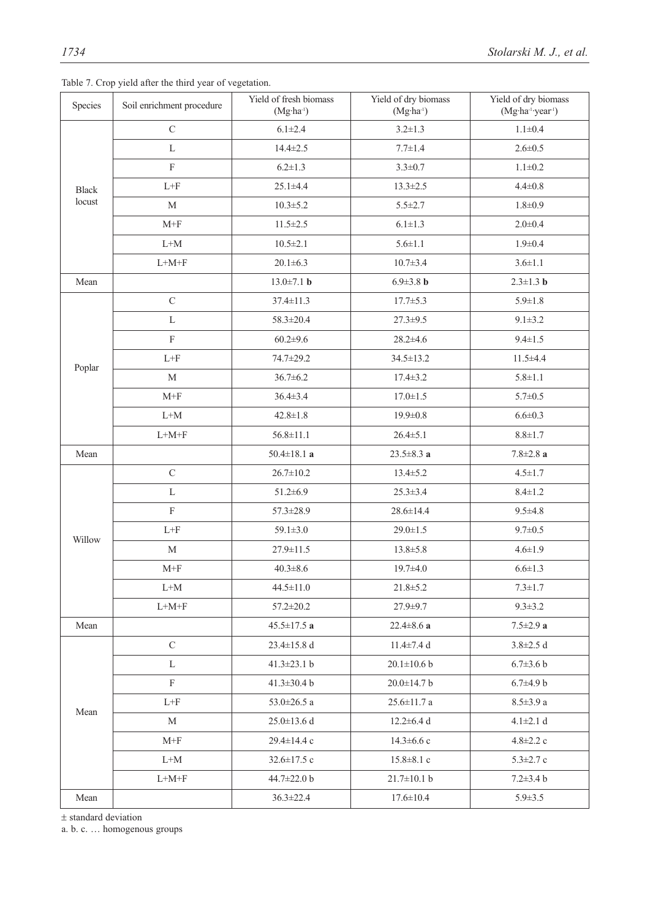| Species      | Soil enrichment procedure       | Yield of fresh biomass<br>$(Mg-1)$ | Yield of dry biomass<br>$(Mg-1)$ | Yield of dry biomass<br>(Mg·ha <sup>-1</sup> ·year <sup>-1</sup> ) |
|--------------|---------------------------------|------------------------------------|----------------------------------|--------------------------------------------------------------------|
|              | $\mathbf C$                     | $6.1 \pm 2.4$                      | $3.2 \pm 1.3$                    | $1.1 \pm 0.4$                                                      |
|              | L                               | $14.4 \pm 2.5$                     | $7.7 \pm 1.4$                    | $2.6 \pm 0.5$                                                      |
|              | $\rm F$                         | $6.2 \pm 1.3$                      | $3.3 \pm 0.7$                    | $1.1 \pm 0.2$                                                      |
| <b>Black</b> | $L+F$                           | $25.1 + 4.4$                       | $13.3 \pm 2.5$                   | $4.4 \pm 0.8$                                                      |
| locust       | M                               | $10.3 \pm 5.2$                     | $5.5 \pm 2.7$                    | $1.8 + 0.9$                                                        |
|              | $M+F$                           | $11.5 \pm 2.5$                     | $6.1 \pm 1.3$                    | $2.0 \pm 0.4$                                                      |
|              | $\mathrm{L} \text{+}\mathrm{M}$ | $10.5 \pm 2.1$                     | $5.6 \pm 1.1$                    | $1.9 \pm 0.4$                                                      |
|              | $\mbox{L+M+F}$                  | $20.1 \pm 6.3$                     | $10.7 \pm 3.4$                   | $3.6 \pm 1.1$                                                      |
| Mean         |                                 | $13.0 \pm 7.1$ b                   | 6.9 $\pm$ 3.8 b                  | $2.3 \pm 1.3$ b                                                    |
|              | $\mathbf C$                     | 37.4±11.3                          | $17.7 \pm 5.3$                   | $5.9 \pm 1.8$                                                      |
|              | L                               | 58.3±20.4                          | $27.3 \pm 9.5$                   | $9.1 \pm 3.2$                                                      |
|              | $\rm F$                         | $60.2 \pm 9.6$                     | $28.2 \pm 4.6$                   | $9.4 \pm 1.5$                                                      |
|              | $L+F$                           | 74.7±29.2                          | 34.5±13.2                        | $11.5 + 4.4$                                                       |
| Poplar       | $\mathbf M$                     | $36.7 \pm 6.2$                     | $17.4 \pm 3.2$                   | $5.8 \pm 1.1$                                                      |
|              | $M+F$                           | 36.4±3.4                           | $17.0 \pm 1.5$                   | $5.7 \pm 0.5$                                                      |
|              | $\mathrm{L} \text{+}\mathrm{M}$ | $42.8 \pm 1.8$                     | $19.9 \pm 0.8$                   | $6.6 \pm 0.3$                                                      |
|              | $\mbox{L+M+F}$                  | $56.8 \pm 11.1$                    | $26.4 \pm 5.1$                   | $8.8 \pm 1.7$                                                      |
| Mean         |                                 | 50.4 $\pm$ 18.1 a                  | $23.5 \pm 8.3$ a                 | $7.8 \pm 2.8$ a                                                    |
|              | $\mathbf C$                     | $26.7 \pm 10.2$                    | $13.4 \pm 5.2$                   | $4.5 \pm 1.7$                                                      |
|              | L                               | $51.2 \pm 6.9$                     | $25.3 \pm 3.4$                   | $8.4 \pm 1.2$                                                      |
|              | $\rm F$                         | 57.3±28.9                          | 28.6±14.4                        | $9.5 \pm 4.8$                                                      |
|              | $\mathrm{L}\text{+}\mathrm{F}$  | $59.1 \pm 3.0$                     | $29.0 \pm 1.5$                   | $9.7 \pm 0.5$                                                      |
| Willow       | $\mathbf M$                     | 27.9±11.5                          | 13.8±5.8                         | $4.6 \pm 1.9$                                                      |
|              | $M+F$                           | $40.3 \pm 8.6$                     | $19.7 + 4.0$                     | $6.6 \pm 1.3$                                                      |
|              | $L+M$                           | $44.5 \pm 11.0$                    | $21.8 \pm 5.2$                   | $7.3 \pm 1.7$                                                      |
|              | $\mbox{L+M+F}$                  | 57.2±20.2                          | 27.9±9.7                         | $9.3 \pm 3.2$                                                      |
| Mean         |                                 | $45.5 \pm 17.5$ a                  | 22.4 $\pm$ 8.6 a                 | $7.5 \pm 2.9$ a                                                    |
|              | $\mathbf C$                     | $23.4 \pm 15.8$ d                  | $11.4 \pm 7.4$ d                 | $3.8 \pm 2.5$ d                                                    |
|              | $\mathbf{L}$                    | 41.3 $\pm$ 23.1 b                  | $20.1 \pm 10.6$ b                | $6.7 \pm 3.6$ b                                                    |
|              | $\mathbf F$                     | 41.3 $\pm$ 30.4 b                  | 20.0±14.7 b                      | $6.7 \pm 4.9 b$                                                    |
|              | $L + F$                         | 53.0 $\pm$ 26.5 a                  | $25.6 \pm 11.7$ a                | $8.5 \pm 3.9$ a                                                    |
| Mean         | $\mathbf M$                     | $25.0 \pm 13.6$ d                  | $12.2 \pm 6.4$ d                 | $4.1 \pm 2.1 d$                                                    |
|              | $M+F$                           | 29.4±14.4 c                        | $14.3 \pm 6.6$ c                 | $4.8 \pm 2.2$ c                                                    |
|              | $L+M$                           | 32.6±17.5 c                        | $15.8 \pm 8.1$ c                 | $5.3 \pm 2.7$ c                                                    |
|              | $L+M+F$                         | 44.7±22.0 b                        | $21.7 \pm 10.1$ b                | $7.2 \pm 3.4$ b                                                    |
| Mean         |                                 | $36.3 \pm 22.4$                    | $17.6 \pm 10.4$                  | $5.9 \pm 3.5$                                                      |

Table 7. Crop yield after the third year of vegetation.

± standard deviation

a. b. c. … homogenous groups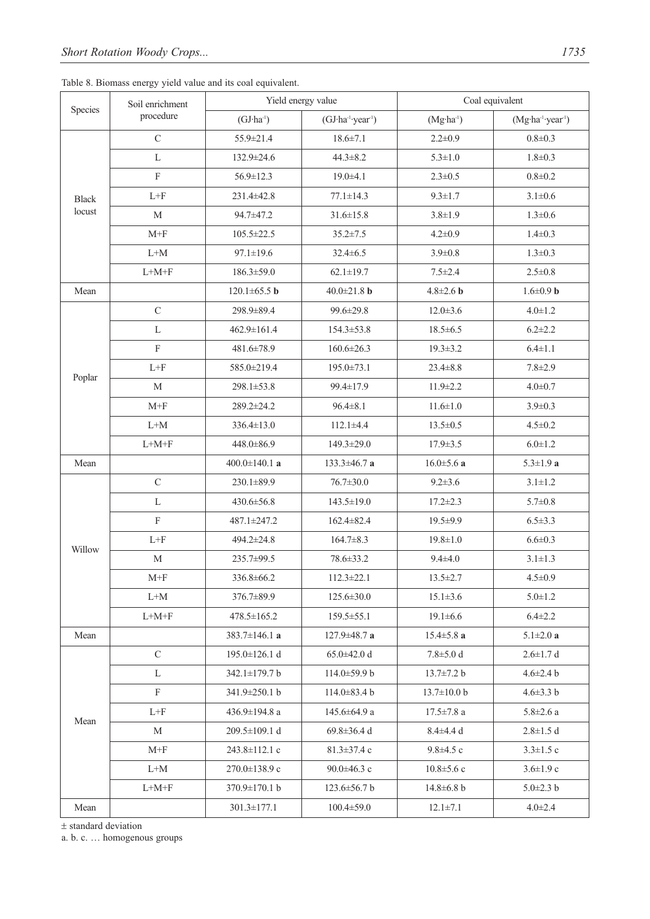| Table 8. Biomass energy yield value and its coal equivalent. |  |  |  |  |
|--------------------------------------------------------------|--|--|--|--|
|--------------------------------------------------------------|--|--|--|--|

| Species      | Soil enrichment                 |                     | Yield energy value           | Coal equivalent   |                              |  |
|--------------|---------------------------------|---------------------|------------------------------|-------------------|------------------------------|--|
|              | procedure                       | $(GJ·ha-1)$         | (GJ·ha-1·year <sup>1</sup> ) | $(Mg·ha-1)$       | (Mg·ha-1-year <sup>1</sup> ) |  |
|              | $\mathbf C$                     | 55.9±21.4           | $18.6 \pm 7.1$               | $2.2 \pm 0.9$     | $0.8 + 0.3$                  |  |
|              | L                               | 132.9±24.6          | $44.3 \pm 8.2$               | $5.3 \pm 1.0$     | $1.8 + 0.3$                  |  |
|              | $\mathbf F$                     | 56.9±12.3           | $19.0 + 4.1$                 | $2.3 \pm 0.5$     | $0.8 + 0.2$                  |  |
| <b>Black</b> | $\mbox{L+F}$                    | 231.4±42.8          | $77.1 \pm 14.3$              | $9.3 \pm 1.7$     | $3.1 \pm 0.6$                |  |
| locust       | $\mathbf M$                     | 94.7±47.2           | $31.6 \pm 15.8$              | $3.8 \pm 1.9$     | $1.3 \pm 0.6$                |  |
|              | $M+F$                           | $105.5 \pm 22.5$    | $35.2 \pm 7.5$               | $4.2 \pm 0.9$     | $1.4 \pm 0.3$                |  |
|              | $\mathrm{L} \text{+}\mathrm{M}$ | $97.1 \pm 19.6$     | $32.4 \pm 6.5$               | $3.9 \pm 0.8$     | $1.3 \pm 0.3$                |  |
|              | $\mbox{L+M+F}$                  | 186.3±59.0          | $62.1 \pm 19.7$              | $7.5 \pm 2.4$     | $2.5 \pm 0.8$                |  |
| Mean         |                                 | $120.1 \pm 65.5$ b  | $40.0 \pm 21.8$ b            | $4.8 \pm 2.6$ b   | $1.6 \pm 0.9$ b              |  |
|              | $\mathsf{C}$                    | 298.9±89.4          | 99.6±29.8                    | $12.0 \pm 3.6$    | $4.0 \pm 1.2$                |  |
|              | L                               | 462.9±161.4         | 154.3±53.8                   | $18.5 \pm 6.5$    | $6.2 \pm 2.2$                |  |
|              | $\mathbf F$                     | 481.6±78.9          | $160.6 \pm 26.3$             | $19.3 \pm 3.2$    | $6.4 \pm 1.1$                |  |
|              | $L + F$                         | 585.0±219.4         | 195.0±73.1                   | $23.4 \pm 8.8$    | $7.8 \pm 2.9$                |  |
| Poplar       | $\mathbf M$                     | 298.1±53.8          | 99.4±17.9                    | $11.9 \pm 2.2$    | $4.0 \pm 0.7$                |  |
|              | $M+F$                           | 289.2±24.2          | $96.4 \pm 8.1$               | $11.6 \pm 1.0$    | $3.9 \pm 0.3$                |  |
|              | $L+M$                           | 336.4±13.0          | $112.1 \pm 4.4$              | $13.5 \pm 0.5$    | $4.5 \pm 0.2$                |  |
|              | $\mbox{L+M+F}$                  | 448.0±86.9          | 149.3±29.0                   | $17.9 \pm 3.5$    | $6.0 \pm 1.2$                |  |
| Mean         |                                 | 400.0 $\pm$ 140.1 a | 133.3±46.7 a                 | $16.0 \pm 5.6$ a  | $5.3 \pm 1.9$ a              |  |
|              | $\mathcal{C}$                   | 230.1±89.9          | $76.7 \pm 30.0$              | $9.2 \pm 3.6$     | $3.1 \pm 1.2$                |  |
|              | L                               | 430.6±56.8          | 143.5±19.0                   | $17.2 \pm 2.3$    | $5.7 \pm 0.8$                |  |
|              | $\mathbf F$                     | 487.1±247.2         | 162.4±82.4                   | $19.5 \pm 9.9$    | $6.5 \pm 3.3$                |  |
| Willow       | $\mbox{L+F}$                    | 494.2±24.8          | $164.7 \pm 8.3$              | $19.8 \pm 1.0$    | $6.6 \pm 0.3$                |  |
|              | M                               | 235.7±99.5          | 78.6±33.2                    | $9.4 \pm 4.0$     | $3.1 \pm 1.3$                |  |
|              | $M+F$                           | 336.8±66.2          | $112.3 \pm 22.1$             | $13.5 \pm 2.7$    | $4.5 \pm 0.9$                |  |
|              | $L+M$                           | 376.7±89.9          | $125.6 \pm 30.0$             | $15.1 \pm 3.6$    | $5.0 \pm 1.2$                |  |
|              | $L+M+F$                         | $478.5 \pm 165.2$   | $159.5 \pm 55.1$             | $19.1 \pm 6.6$    | $6.4 \pm 2.2$                |  |
| Mean         |                                 | 383.7 $\pm$ 146.1 a | $127.9 \pm 48.7$ a           | $15.4 \pm 5.8$ a  | 5.1 $\pm$ 2.0 <b>a</b>       |  |
|              | $\mathcal{C}$                   | $195.0 \pm 126.1$ d | $65.0 \pm 42.0 d$            | $7.8 \pm 5.0 d$   | $2.6 \pm 1.7$ d              |  |
|              | L                               | $342.1 \pm 179.7 b$ | $114.0 \pm 59.9 b$           | $13.7 \pm 7.2 b$  | $4.6 \pm 2.4 b$              |  |
|              | $\mathbf{F}$                    | 341.9±250.1 b       | $114.0 \pm 83.4 b$           | $13.7 \pm 10.0 b$ | $4.6 \pm 3.3$ b              |  |
| Mean         | $L + F$                         | 436.9±194.8 a       | $145.6 \pm 64.9$ a           | $17.5 \pm 7.8$ a  | $5.8 \pm 2.6$ a              |  |
|              | M                               | $209.5 \pm 109.1$ d | 69.8 $\pm$ 36.4 d            | $8.4 \pm 4.4$ d   | $2.8 \pm 1.5$ d              |  |
|              | $M+F$                           | 243.8±112.1 c       | $81.3 \pm 37.4$ c            | $9.8 \pm 4.5$ c   | $3.3 \pm 1.5$ c              |  |
|              | $L+M$                           | $270.0 \pm 138.9$ c | $90.0 \pm 46.3$ c            | $10.8 \pm 5.6$ c  | $3.6 \pm 1.9$ c              |  |
|              | $L+M+F$                         | $370.9 \pm 170.1 b$ | $123.6 \pm 56.7 b$           | $14.8 \pm 6.8$ b  | $5.0 \pm 2.3 b$              |  |
| Mean         |                                 | $301.3 \pm 177.1$   | $100.4 \pm 59.0$             | $12.1 \pm 7.1$    | $4.0 \pm 2.4$                |  |

± standard deviation

a. b. c. … homogenous groups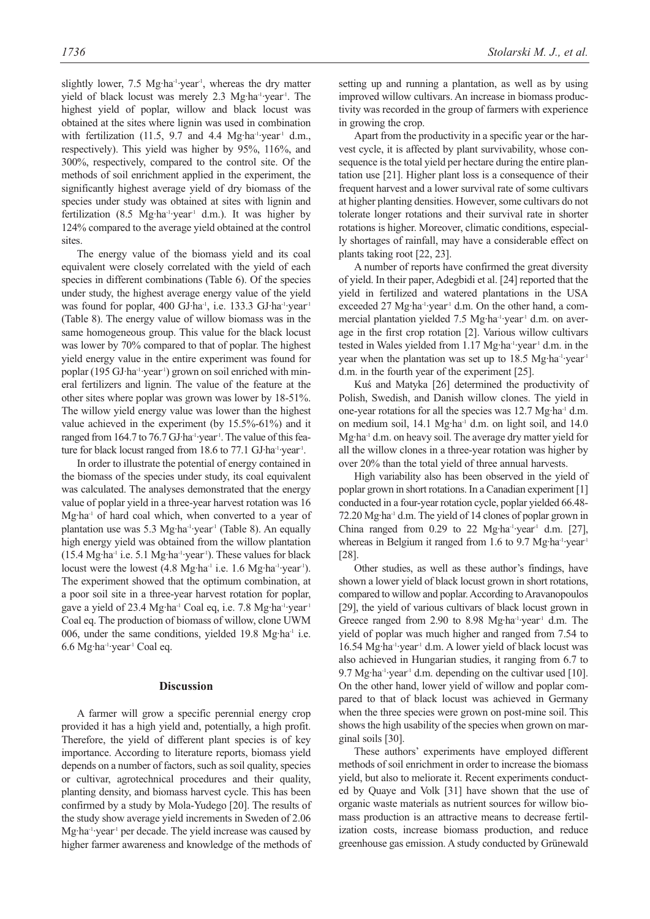slightly lower,  $7.5 \text{ Mg} \cdot \text{ha}^{-1} \cdot \text{year}^{-1}$ , whereas the dry matter yield of black locust was merely 2.3 Mg·ha<sup>-1</sup>·year<sup>-1</sup>. The highest yield of poplar, willow and black locust was obtained at the sites where lignin was used in combination with fertilization (11.5, 9.7 and 4.4 Mg·ha-1·year<sup>1</sup> d.m., respectively). This yield was higher by 95%, 116%, and 300%, respectively, compared to the control site. Of the methods of soil enrichment applied in the experiment, the significantly highest average yield of dry biomass of the species under study was obtained at sites with lignin and fertilization (8.5 Mg·ha<sup>-1</sup>·year<sup>1</sup> d.m.). It was higher by 124% compared to the average yield obtained at the control sites.

The energy value of the biomass yield and its coal equivalent were closely correlated with the yield of each species in different combinations (Table 6). Of the species under study, the highest average energy value of the yield was found for poplar, 400 GJ·ha<sup>-1</sup>, i.e. 133.3 GJ·ha<sup>-1</sup>·year<sup>-1</sup> (Table 8). The energy value of willow biomass was in the same homogeneous group. This value for the black locust was lower by 70% compared to that of poplar. The highest yield energy value in the entire experiment was found for poplar (195 GJ·ha<sup>-1</sup>·year<sup>1</sup>) grown on soil enriched with mineral fertilizers and lignin. The value of the feature at the other sites where poplar was grown was lower by 18-51%. The willow yield energy value was lower than the highest value achieved in the experiment (by 15.5%-61%) and it ranged from 164.7 to 76.7 GJ·ha<sup>-1</sup>·year<sup>1</sup>. The value of this feature for black locust ranged from 18.6 to 77.1 GJ·ha<sup>-1</sup>·year<sup>1</sup>.

In order to illustrate the potential of energy contained in the biomass of the species under study, its coal equivalent was calculated. The analyses demonstrated that the energy value of poplar yield in a three-year harvest rotation was 16 Mg·ha<sup>-1</sup> of hard coal which, when converted to a year of plantation use was 5.3 Mg·ha<sup>-1</sup>·year<sup>1</sup> (Table 8). An equally high energy yield was obtained from the willow plantation (15.4 Mg·ha-1 i.e. 5.1 Mg·ha-1·year-1). These values for black locust were the lowest (4.8 Mg·ha<sup>-1</sup> i.e. 1.6 Mg·ha<sup>-1</sup>·year<sup>-1</sup>). The experiment showed that the optimum combination, at a poor soil site in a three-year harvest rotation for poplar, gave a yield of 23.4 Mg·ha<sup>-1</sup> Coal eq, i.e. 7.8 Mg·ha<sup>-1</sup>·year<sup>-1</sup> Coal eq. The production of biomass of willow, clone UWM 006, under the same conditions, yielded 19.8 Mg·ha<sup>-1</sup> i.e. 6.6 Mg·ha-1·year-1 Coal eq.

#### **Discussion**

A farmer will grow a specific perennial energy crop provided it has a high yield and, potentially, a high profit. Therefore, the yield of different plant species is of key importance. According to literature reports, biomass yield depends on a number of factors, such as soil quality, species or cultivar, agrotechnical procedures and their quality, planting density, and biomass harvest cycle. This has been confirmed by a study by Mola-Yudego [20]. The results of the study show average yield increments in Sweden of 2.06 Mg·ha<sup>-1</sup>·year<sup>-1</sup> per decade. The yield increase was caused by higher farmer awareness and knowledge of the methods of setting up and running a plantation, as well as by using improved willow cultivars. An increase in biomass productivity was recorded in the group of farmers with experience in growing the crop.

Apart from the productivity in a specific year or the harvest cycle, it is affected by plant survivability, whose consequence is the total yield per hectare during the entire plantation use [21]. Higher plant loss is a consequence of their frequent harvest and a lower survival rate of some cultivars at higher planting densities. However, some cultivars do not tolerate longer rotations and their survival rate in shorter rotations is higher. Moreover, climatic conditions, especially shortages of rainfall, may have a considerable effect on plants taking root [22, 23].

A number of reports have confirmed the great diversity of yield. In their paper, Adegbidi et al. [24] reported that the yield in fertilized and watered plantations in the USA exceeded 27 Mg·ha<sup>-1</sup>·year<sup>-1</sup> d.m. On the other hand, a commercial plantation yielded 7.5 Mg·ha<sup>-1</sup>·year<sup>-1</sup> d.m. on average in the first crop rotation [2]. Various willow cultivars tested in Wales yielded from 1.17 Mg·ha-1·year<sup>1</sup> d.m. in the year when the plantation was set up to 18.5 Mg·ha-1·year-1 d.m. in the fourth year of the experiment [25].

Kuś and Matyka [26] determined the productivity of Polish, Swedish, and Danish willow clones. The yield in one-year rotations for all the species was 12.7 Mg·ha<sup>-1</sup> d.m. on medium soil, 14.1 Mg·ha<sup>-1</sup> d.m. on light soil, and 14.0 Mg·ha<sup>-1</sup> d.m. on heavy soil. The average dry matter yield for all the willow clones in a three-year rotation was higher by over 20% than the total yield of three annual harvests.

High variability also has been observed in the yield of poplar grown in short rotations. In a Canadian experiment [1] conducted in a four-year rotation cycle, poplar yielded 66.48- 72.20 Mg·ha-1 d.m. The yield of 14 clones of poplar grown in China ranged from 0.29 to 22 Mg·ha-1·year-1 d.m. [27], whereas in Belgium it ranged from 1.6 to 9.7 Mg·ha-1·year-1 [28].

Other studies, as well as these author's findings, have shown a lower yield of black locust grown in short rotations, compared to willow and poplar. According to Aravanopoulos [29], the yield of various cultivars of black locust grown in Greece ranged from 2.90 to 8.98 Mg·ha $^{-1}$ ·year<sup>1</sup> d.m. The yield of poplar was much higher and ranged from 7.54 to 16.54 Mg·ha<sup>-1</sup>·year<sup>-1</sup> d.m. A lower yield of black locust was also achieved in Hungarian studies, it ranging from 6.7 to 9.7 Mg·ha<sup>-1</sup>·year<sup>-1</sup> d.m. depending on the cultivar used [10]. On the other hand, lower yield of willow and poplar compared to that of black locust was achieved in Germany when the three species were grown on post-mine soil. This shows the high usability of the species when grown on marginal soils [30].

These authors' experiments have employed different methods of soil enrichment in order to increase the biomass yield, but also to meliorate it. Recent experiments conducted by Quaye and Volk [31] have shown that the use of organic waste materials as nutrient sources for willow biomass production is an attractive means to decrease fertilization costs, increase biomass production, and reduce greenhouse gas emission. A study conducted by Grünewald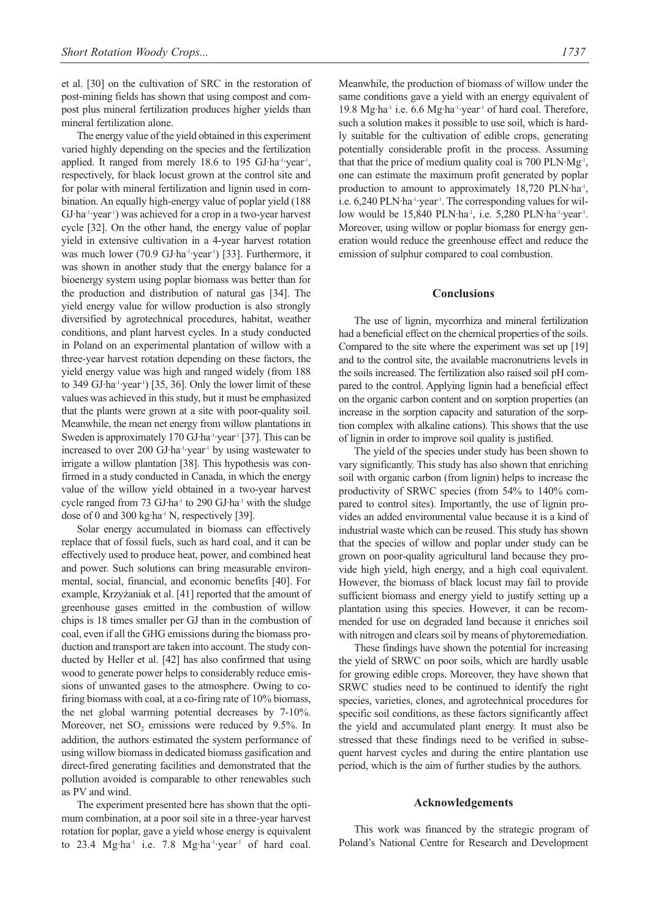et al. [30] on the cultivation of SRC in the restoration of post-mining fields has shown that using compost and compost plus mineral fertilization produces higher yields than mineral fertilization alone.

The energy value of the yield obtained in this experiment varied highly depending on the species and the fertilization applied. It ranged from merely 18.6 to 195 GJ·ha-1·year<sup>1</sup>, respectively, for black locust grown at the control site and for polar with mineral fertilization and lignin used in combination. An equally high-energy value of poplar yield (188 GJ·ha<sup>-1</sup>·year<sup>-1</sup>) was achieved for a crop in a two-year harvest cycle [32]. On the other hand, the energy value of poplar yield in extensive cultivation in a 4-year harvest rotation was much lower (70.9 GJ·ha<sup>-1</sup>·year<sup>1</sup>) [33]. Furthermore, it was shown in another study that the energy balance for a bioenergy system using poplar biomass was better than for the production and distribution of natural gas [34]. The yield energy value for willow production is also strongly diversified by agrotechnical procedures, habitat, weather conditions, and plant harvest cycles. In a study conducted in Poland on an experimental plantation of willow with a three-year harvest rotation depending on these factors, the yield energy value was high and ranged widely (from 188 to 349 GJ $\cdot$ ha $\cdot$  $\cdot$ year $\cdot$  $(35, 36)$ . Only the lower limit of these values was achieved in this study, but it must be emphasized that the plants were grown at a site with poor-quality soil. Meanwhile, the mean net energy from willow plantations in Sweden is approximately 170 GJ·ha<sup>-1</sup>·year<sup>-1</sup> [37]. This can be increased to over 200 GJ·ha<sup>-1</sup>·year<sup>1</sup> by using wastewater to irrigate a willow plantation [38]. This hypothesis was confirmed in a study conducted in Canada, in which the energy value of the willow yield obtained in a two-year harvest cycle ranged from 73 GJ·ha<sup>-1</sup> to 290 GJ·ha<sup>-1</sup> with the sludge dose of 0 and 300 kg·ha<sup>-1</sup> N, respectively [39].

Solar energy accumulated in biomass can effectively replace that of fossil fuels, such as hard coal, and it can be effectively used to produce heat, power, and combined heat and power. Such solutions can bring measurable environmental, social, financial, and economic benefits [40]. For example, Krzyżaniak et al. [41] reported that the amount of greenhouse gases emitted in the combustion of willow chips is 18 times smaller per GJ than in the combustion of coal, even if all the GHG emissions during the biomass production and transport are taken into account. The study conducted by Heller et al. [42] has also confirmed that using wood to generate power helps to considerably reduce emissions of unwanted gases to the atmosphere. Owing to cofiring biomass with coal, at a co-firing rate of 10% biomass, the net global warming potential decreases by 7-10%. Moreover, net  $SO_2$  emissions were reduced by 9.5%. In addition, the authors estimated the system performance of using willow biomass in dedicated biomass gasification and direct-fired generating facilities and demonstrated that the pollution avoided is comparable to other renewables such as PV and wind.

The experiment presented here has shown that the optimum combination, at a poor soil site in a three-year harvest rotation for poplar, gave a yield whose energy is equivalent to 23.4 Mg·ha<sup>-1</sup> i.e. 7.8 Mg·ha<sup>-1</sup>·year<sup>-1</sup> of hard coal. Meanwhile, the production of biomass of willow under the same conditions gave a yield with an energy equivalent of 19.8 Mg·ha-1 i.e. 6.6 Mg·ha-1·year-1 of hard coal. Therefore, such a solution makes it possible to use soil, which is hardly suitable for the cultivation of edible crops, generating potentially considerable profit in the process. Assuming that that the price of medium quality coal is 700 PLN·Mg-1, one can estimate the maximum profit generated by poplar production to amount to approximately 18,720 PLN·ha<sup>-1</sup>, i.e. 6,240 PLN·ha<sup>-1</sup>·year<sup>-1</sup>. The corresponding values for willow would be 15,840 PLN·ha<sup>-1</sup>, i.e. 5,280 PLN·ha<sup>-1</sup>·year<sup>-1</sup>. Moreover, using willow or poplar biomass for energy generation would reduce the greenhouse effect and reduce the emission of sulphur compared to coal combustion.

#### **Conclusions**

The use of lignin, mycorrhiza and mineral fertilization had a beneficial effect on the chemical properties of the soils. Compared to the site where the experiment was set up [19] and to the control site, the available macronutriens levels in the soils increased. The fertilization also raised soil pH compared to the control. Applying lignin had a beneficial effect on the organic carbon content and on sorption properties (an increase in the sorption capacity and saturation of the sorption complex with alkaline cations). This shows that the use of lignin in order to improve soil quality is justified.

The yield of the species under study has been shown to vary significantly. This study has also shown that enriching soil with organic carbon (from lignin) helps to increase the productivity of SRWC species (from 54% to 140% compared to control sites). Importantly, the use of lignin provides an added environmental value because it is a kind of industrial waste which can be reused. This study has shown that the species of willow and poplar under study can be grown on poor-quality agricultural land because they provide high yield, high energy, and a high coal equivalent. However, the biomass of black locust may fail to provide sufficient biomass and energy yield to justify setting up a plantation using this species. However, it can be recommended for use on degraded land because it enriches soil with nitrogen and clears soil by means of phytoremediation.

These findings have shown the potential for increasing the yield of SRWC on poor soils, which are hardly usable for growing edible crops. Moreover, they have shown that SRWC studies need to be continued to identify the right species, varieties, clones, and agrotechnical procedures for specific soil conditions, as these factors significantly affect the yield and accumulated plant energy. It must also be stressed that these findings need to be verified in subsequent harvest cycles and during the entire plantation use period, which is the aim of further studies by the authors.

#### **Acknowledgements**

This work was financed by the strategic program of Poland's National Centre for Research and Development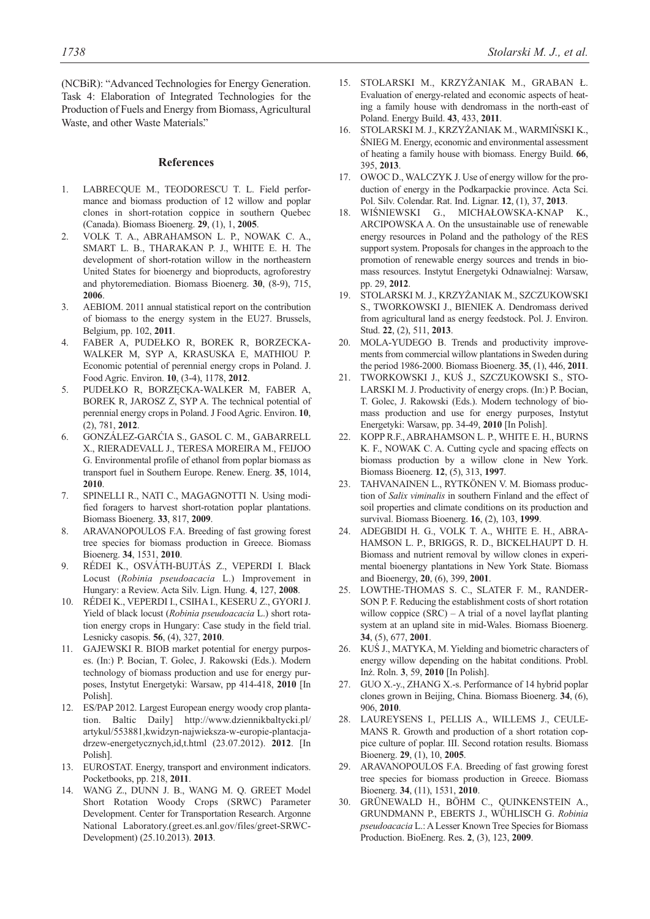(NCBiR): "Advanced Technologies for Energy Generation. Task 4: Elaboration of Integrated Technologies for the Production of Fuels and Energy from Biomass, Agricultural Waste, and other Waste Materials."

## **References**

- 1. LABRECQUE M., TEODORESCU T. L. Field performance and biomass production of 12 willow and poplar clones in short-rotation coppice in southern Quebec (Canada). Biomass Bioenerg. **29**, (1), 1, **2005**.
- 2. VOLK T. A., ABRAHAMSON L. P., NOWAK C. A., SMART L. B., THARAKAN P. J., WHITE E. H. The development of short-rotation willow in the northeastern United States for bioenergy and bioproducts, agroforestry and phytoremediation. Biomass Bioenerg. **30**, (8-9), 715, **2006**.
- 3. AEBIOM. 2011 annual statistical report on the contribution of biomass to the energy system in the EU27. Brussels, Belgium, pp. 102, **2011**.
- 4. FABER A, PUDEŁKO R, BOREK R, BORZECKA-WALKER M, SYP A, KRASUSKA E, MATHIOU P. Economic potential of perennial energy crops in Poland. J. Food Agric. Environ. **10**, (3-4), 1178, **2012**.
- 5. PUDEŁKO R, BORZĘCKA-WALKER M, FABER A, BOREK R, JAROSZ Z, SYP A. The technical potential of perennial energy crops in Poland. J Food Agric. Environ. **10**, (2), 781, **2012**.
- 6. GONZÁLEZ-GARĆIA S., GASOL C. M., GABARRELL X., RIERADEVALL J., TERESA MOREIRA M., FEIJOO G. Environmental profile of ethanol from poplar biomass as transport fuel in Southern Europe. Renew. Energ. **35**, 1014, **2010**.
- 7. SPINELLI R., NATI C., MAGAGNOTTI N. Using modified foragers to harvest short-rotation poplar plantations. Biomass Bioenerg. **33**, 817, **2009**.
- 8. ARAVANOPOULOS F.A. Breeding of fast growing forest tree species for biomass production in Greece. Biomass Bioenerg. **34**, 1531, **2010**.
- 9. RÉDEI K., OSVÁTH-BUJTÁS Z., VEPERDI I. Black Locust (*Robinia pseudoacacia* L.) Improvement in Hungary: a Review. Acta Silv. Lign. Hung. **4**, 127, **2008**.
- 10. RÉDEI K., VEPERDI I., CSIHA I., KESERU Z., GYORI J. Yield of black locust (*Robinia pseudoacacia* L.) short rotation energy crops in Hungary: Case study in the field trial. Lesnicky casopis. **56**, (4), 327, **2010**.
- 11. GAJEWSKI R. BIOB market potential for energy purposes. (In:) P. Bocian, T. Golec, J. Rakowski (Eds.). Modern technology of biomass production and use for energy purposes, Instytut Energetyki: Warsaw, pp 414-418, **2010** [In Polish].
- 12. ES/PAP 2012. Largest European energy woody crop plantation. Baltic Daily] http://www.dziennikbaltycki.pl/ artykul/553881,kwidzyn-najwieksza-w-europie-plantacjadrzew-energetycznych,id,t.html (23.07.2012). **2012**. [In Polish].
- 13. EUROSTAT. Energy, transport and environment indicators. Pocketbooks, pp. 218, **2011**.
- 14. WANG Z., DUNN J. B., WANG M. Q. GREET Model Short Rotation Woody Crops (SRWC) Parameter Development. Center for Transportation Research. Argonne National Laboratory.(greet.es.anl.gov/files/greet-SRWC-Development) (25.10.2013). **2013**.
- 15. STOLARSKI M., KRZYŻANIAK M., GRABAN Ł. Evaluation of energy-related and economic aspects of heating a family house with dendromass in the north-east of Poland. Energy Build. **43**, 433, **2011**.
- 16. STOLARSKI M. J., KRZYŻANIAK M., WARMIŃSKI K., ŚNIEG M. Energy, economic and environmental assessment of heating a family house with biomass. Energy Build. **66**, 395, **2013**.
- 17. OWOC D., WALCZYK J. Use of energy willow for the production of energy in the Podkarpackie province. Acta Sci. Pol. Silv. Colendar. Rat. Ind. Lignar. **12**, (1), 37, **2013**.
- 18. WIŚNIEWSKI G., MICHAŁOWSKA-KNAP K., ARCIPOWSKA A. On the unsustainable use of renewable energy resources in Poland and the pathology of the RES support system. Proposals for changes in the approach to the promotion of renewable energy sources and trends in biomass resources. Instytut Energetyki Odnawialnej: Warsaw, pp. 29, **2012**.
- 19. STOLARSKI M. J., KRZYŻANIAK M., SZCZUKOWSKI S., TWORKOWSKI J., BIENIEK A. Dendromass derived from agricultural land as energy feedstock. Pol. J. Environ. Stud. **22**, (2), 511, **2013**.
- 20. MOLA-YUDEGO B. Trends and productivity improvements from commercial willow plantations in Sweden during the period 1986-2000. Biomass Bioenerg. **35**, (1), 446, **2011**.
- 21. TWORKOWSKI J., KUŚ J., SZCZUKOWSKI S., STO-LARSKI M. J. Productivity of energy crops. (In:) P. Bocian, T. Golec, J. Rakowski (Eds.). Modern technology of biomass production and use for energy purposes, Instytut Energetyki: Warsaw, pp. 34-49, **2010** [In Polish].
- 22. KOPP R.F., ABRAHAMSON L. P., WHITE E. H., BURNS K. F., NOWAK C. A. Cutting cycle and spacing effects on biomass production by a willow clone in New York. Biomass Bioenerg. **12**, (5), 313, **1997**.
- 23. TAHVANAINEN L., RYTKÖNEN V. M. Biomass production of *Salix viminalis* in southern Finland and the effect of soil properties and climate conditions on its production and survival. Biomass Bioenerg. **16**, (2), 103, **1999**.
- 24. ADEGBIDI H. G., VOLK T. A., WHITE E. H., ABRA-HAMSON L. P., BRIGGS, R. D., BICKELHAUPT D. H. Biomass and nutrient removal by willow clones in experimental bioenergy plantations in New York State. Biomass and Bioenergy, **20**, (6), 399, **2001**.
- 25. LOWTHE-THOMAS S. C., SLATER F. M., RANDER-SON P. F. Reducing the establishment costs of short rotation willow coppice (SRC) – A trial of a novel layflat planting system at an upland site in mid-Wales. Biomass Bioenerg. **34**, (5), 677, **2001**.
- 26. KUŚ J., MATYKA, M. Yielding and biometric characters of energy willow depending on the habitat conditions. Probl. Inż. Roln. **3**, 59, **2010** [In Polish].
- 27. GUO X.-y., ZHANG X.-s. Performance of 14 hybrid poplar clones grown in Beijing, China. Biomass Bioenerg. **34**, (6), 906, **2010**.
- 28. LAUREYSENS I., PELLIS A., WILLEMS J., CEULE-MANS R. Growth and production of a short rotation coppice culture of poplar. III. Second rotation results. Biomass Bioenerg. **29**, (1), 10, **2005**.
- 29. ARAVANOPOULOS F.A. Breeding of fast growing forest tree species for biomass production in Greece. Biomass Bioenerg. **34**, (11), 1531, **2010**.
- 30. GRÜNEWALD H., BÖHM C., QUINKENSTEIN A., GRUNDMANN P., EBERTS J., WÜHLISCH G. *Robinia pseudoacacia* L.: A Lesser Known Tree Species for Biomass Production. BioEnerg. Res. **2**, (3), 123, **2009**.